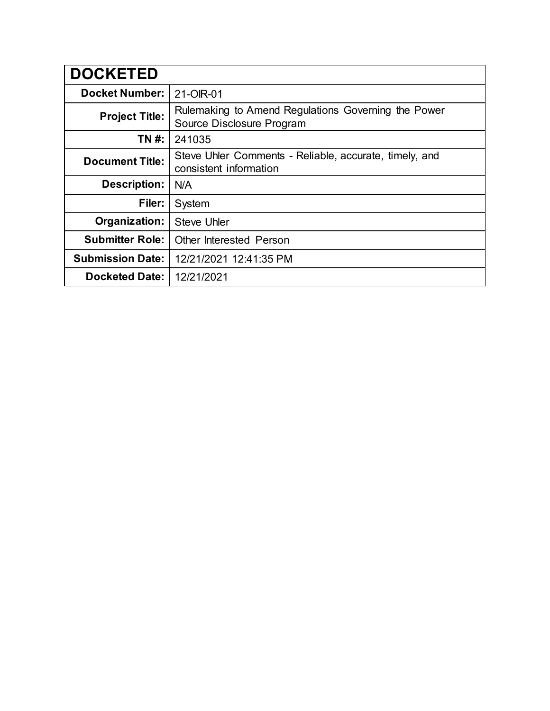| <b>DOCKETED</b>         |                                                                                  |
|-------------------------|----------------------------------------------------------------------------------|
| <b>Docket Number:</b>   | 21-OIR-01                                                                        |
| <b>Project Title:</b>   | Rulemaking to Amend Regulations Governing the Power<br>Source Disclosure Program |
| TN #:                   | 241035                                                                           |
| <b>Document Title:</b>  | Steve Uhler Comments - Reliable, accurate, timely, and<br>consistent information |
| <b>Description:</b>     | N/A                                                                              |
| Filer:                  | System                                                                           |
| Organization:           | <b>Steve Uhler</b>                                                               |
| <b>Submitter Role:</b>  | <b>Other Interested Person</b>                                                   |
| <b>Submission Date:</b> | 12/21/2021 12:41:35 PM                                                           |
| <b>Docketed Date:</b>   | 12/21/2021                                                                       |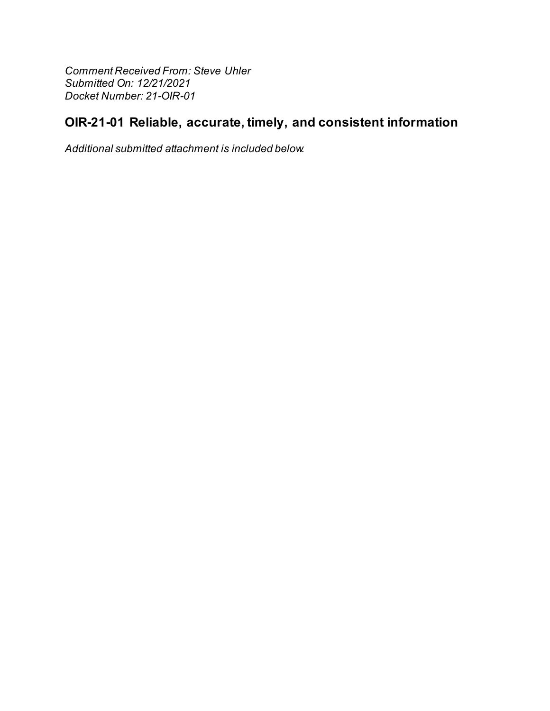**Comment Received From: Steve Uhler** Submitted On: 12/21/2021 Docket Number: 21-OIR-01

# OIR-21-01 Reliable, accurate, timely, and consistent information

Additional submitted attachment is included below.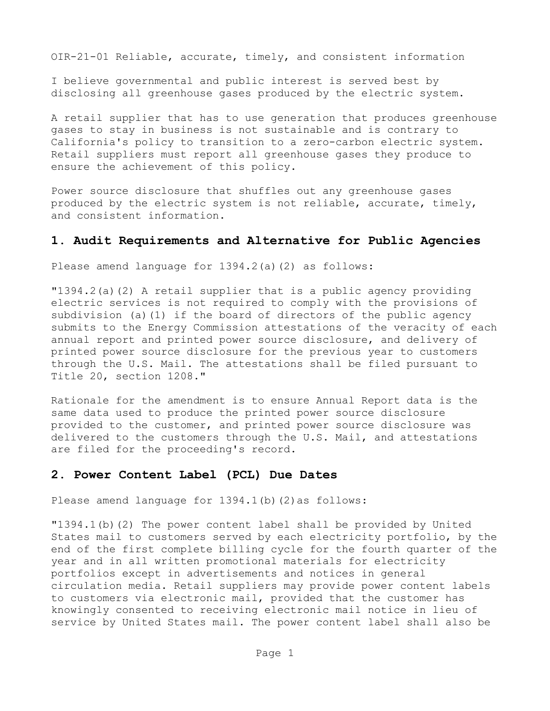OIR-21-01 Reliable, accurate, timely, and consistent information

I believe governmental and public interest is served best by disclosing all greenhouse gases produced by the electric system.

A retail supplier that has to use generation that produces greenhouse gases to stay in business is not sustainable and is contrary to California's policy to transition to a zero-carbon electric system. Retail suppliers must report all greenhouse gases they produce to ensure the achievement of this policy.

Power source disclosure that shuffles out any greenhouse gases produced by the electric system is not reliable, accurate, timely, and consistent information.

#### **1. Audit Requirements and Alternative for Public Agencies**

Please amend language for 1394.2(a)(2) as follows:

"1394.2(a)(2) A retail supplier that is a public agency providing electric services is not required to comply with the provisions of subdivision (a)(1) if the board of directors of the public agency submits to the Energy Commission attestations of the veracity of each annual report and printed power source disclosure, and delivery of printed power source disclosure for the previous year to customers through the U.S. Mail. The attestations shall be filed pursuant to Title 20, section 1208."

Rationale for the amendment is to ensure Annual Report data is the same data used to produce the printed power source disclosure provided to the customer, and printed power source disclosure was delivered to the customers through the U.S. Mail, and attestations are filed for the proceeding's record.

#### **2. Power Content Label (PCL) Due Dates**

Please amend language for 1394.1(b)(2)as follows:

"1394.1(b)(2) The power content label shall be provided by United States mail to customers served by each electricity portfolio, by the end of the first complete billing cycle for the fourth quarter of the year and in all written promotional materials for electricity portfolios except in advertisements and notices in general circulation media. Retail suppliers may provide power content labels to customers via electronic mail, provided that the customer has knowingly consented to receiving electronic mail notice in lieu of service by United States mail. The power content label shall also be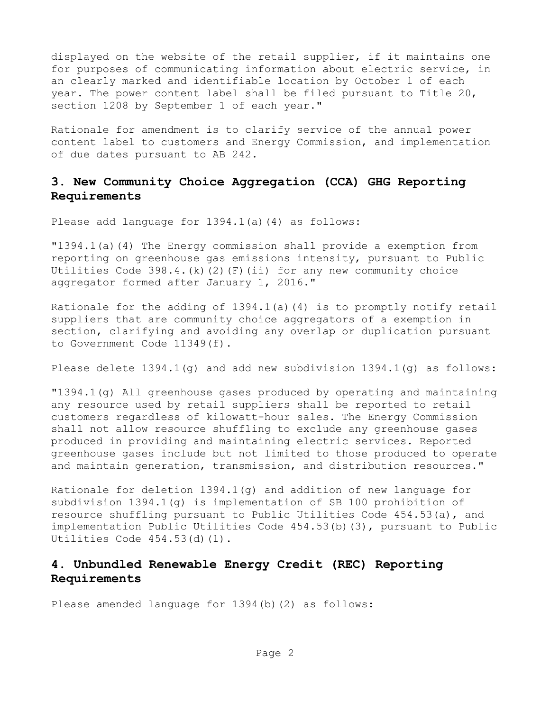displayed on the website of the retail supplier, if it maintains one for purposes of communicating information about electric service, in an clearly marked and identifiable location by October 1 of each year. The power content label shall be filed pursuant to Title 20, section 1208 by September 1 of each year."

Rationale for amendment is to clarify service of the annual power content label to customers and Energy Commission, and implementation of due dates pursuant to AB 242.

### **3. New Community Choice Aggregation (CCA) GHG Reporting Requirements**

Please add language for 1394.1(a)(4) as follows:

"1394.1(a)(4) The Energy commission shall provide a exemption from reporting on greenhouse gas emissions intensity, pursuant to Public Utilities Code 398.4.(k)(2)(F)(ii) for any new community choice aggregator formed after January 1, 2016."

Rationale for the adding of  $1394.1(a)$  (4) is to promptly notify retail suppliers that are community choice aggregators of a exemption in section, clarifying and avoiding any overlap or duplication pursuant to Government Code 11349(f).

Please delete  $1394.1(q)$  and add new subdivision  $1394.1(q)$  as follows:

"1394.1(g) All greenhouse gases produced by operating and maintaining any resource used by retail suppliers shall be reported to retail customers regardless of kilowatt-hour sales. The Energy Commission shall not allow resource shuffling to exclude any greenhouse gases produced in providing and maintaining electric services. Reported greenhouse gases include but not limited to those produced to operate and maintain generation, transmission, and distribution resources."

Rationale for deletion 1394.1(g) and addition of new language for subdivision 1394.1(g) is implementation of SB 100 prohibition of resource shuffling pursuant to Public Utilities Code 454.53(a), and implementation Public Utilities Code 454.53(b)(3), pursuant to Public Utilities Code 454.53(d)(1).

## **4. Unbundled Renewable Energy Credit (REC) Reporting Requirements**

Please amended language for 1394(b)(2) as follows: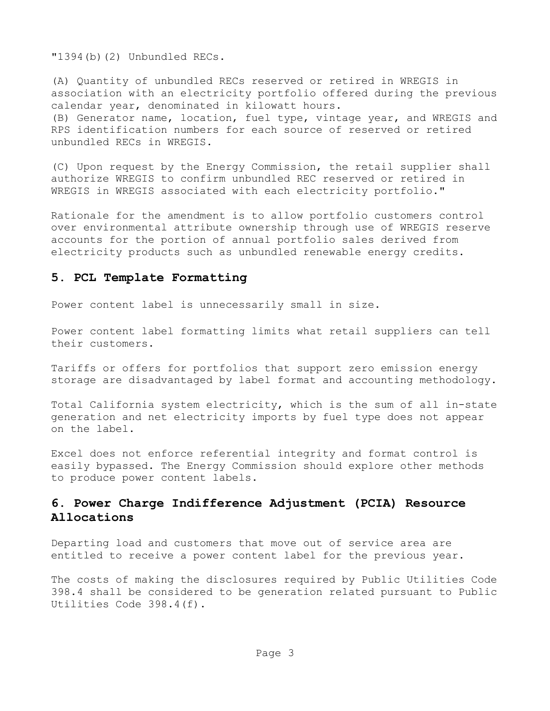"1394(b)(2) Unbundled RECs.

(A) Quantity of unbundled RECs reserved or retired in WREGIS in association with an electricity portfolio offered during the previous calendar year, denominated in kilowatt hours. (B) Generator name, location, fuel type, vintage year, and WREGIS and RPS identification numbers for each source of reserved or retired unbundled RECs in WREGIS.

(C) Upon request by the Energy Commission, the retail supplier shall authorize WREGIS to confirm unbundled REC reserved or retired in WREGIS in WREGIS associated with each electricity portfolio."

Rationale for the amendment is to allow portfolio customers control over environmental attribute ownership through use of WREGIS reserve accounts for the portion of annual portfolio sales derived from electricity products such as unbundled renewable energy credits.

#### **5. PCL Template Formatting**

Power content label is unnecessarily small in size.

Power content label formatting limits what retail suppliers can tell their customers.

Tariffs or offers for portfolios that support zero emission energy storage are disadvantaged by label format and accounting methodology.

Total California system electricity, which is the sum of all in-state generation and net electricity imports by fuel type does not appear on the label.

Excel does not enforce referential integrity and format control is easily bypassed. The Energy Commission should explore other methods to produce power content labels.

## **6. Power Charge Indifference Adjustment (PCIA) Resource Allocations**

Departing load and customers that move out of service area are entitled to receive a power content label for the previous year.

The costs of making the disclosures required by Public Utilities Code 398.4 shall be considered to be generation related pursuant to Public Utilities Code 398.4(f).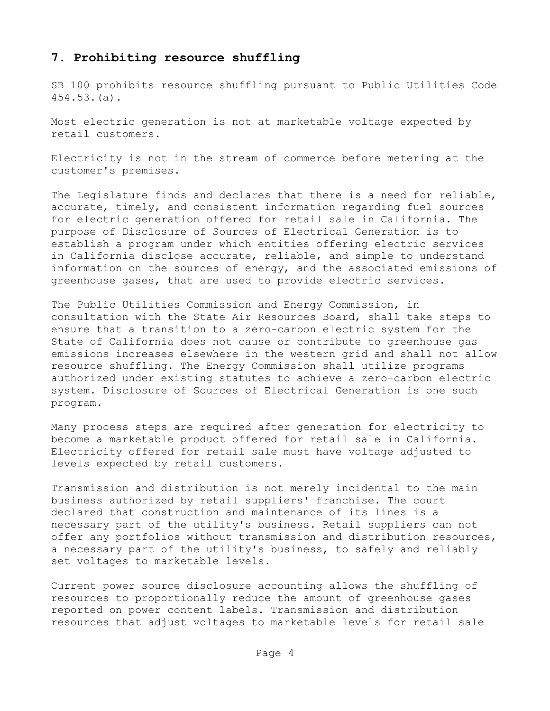#### **7. Prohibiting resource shuffling**

SB 100 prohibits resource shuffling pursuant to Public Utilities Code 454.53.(a).

Most electric generation is not at marketable voltage expected by retail customers.

Electricity is not in the stream of commerce before metering at the customer's premises.

The Legislature finds and declares that there is a need for reliable, accurate, timely, and consistent information regarding fuel sources for electric generation offered for retail sale in California. The purpose of Disclosure of Sources of Electrical Generation is to establish a program under which entities offering electric services in California disclose accurate, reliable, and simple to understand information on the sources of energy, and the associated emissions of greenhouse gases, that are used to provide electric services.

The Public Utilities Commission and Energy Commission, in consultation with the State Air Resources Board, shall take steps to ensure that a transition to a zero-carbon electric system for the State of California does not cause or contribute to greenhouse gas emissions increases elsewhere in the western grid and shall not allow resource shuffling. The Energy Commission shall utilize programs authorized under existing statutes to achieve a zero-carbon electric system. Disclosure of Sources of Electrical Generation is one such program.

Many process steps are required after generation for electricity to become a marketable product offered for retail sale in California. Electricity offered for retail sale must have voltage adjusted to levels expected by retail customers.

Transmission and distribution is not merely incidental to the main business authorized by retail suppliers' franchise. The court declared that construction and maintenance of its lines is a necessary part of the utility's business. Retail suppliers can not offer any portfolios without transmission and distribution resources, a necessary part of the utility's business, to safely and reliably set voltages to marketable levels.

Current power source disclosure accounting allows the shuffling of resources to proportionally reduce the amount of greenhouse gases reported on power content labels. Transmission and distribution resources that adjust voltages to marketable levels for retail sale